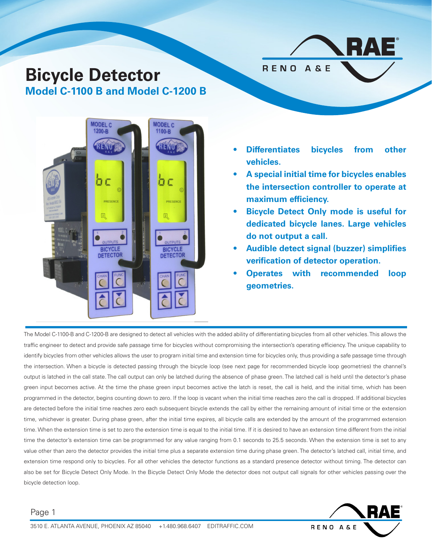# **Bicycle Detector Model C-1100 B and Model C-1200 B**





- **• Differentiates bicycles from other vehicles.**
- **• A special initial time for bicycles enables the intersection controller to operate at maximum efficiency.**
- **• Bicycle Detect Only mode is useful for dedicated bicycle lanes. Large vehicles do not output a call.**
- **• Audible detect signal (buzzer) simplifies verification of detector operation.**
- **• Operates with recommended loop geometries.**

The Model C-1100-B and C-1200-B are designed to detect all vehicles with the added ability of differentiating bicycles from all other vehicles. This allows the traffic engineer to detect and provide safe passage time for bicycles without compromising the intersection's operating efficiency. The unique capability to identify bicycles from other vehicles allows the user to program initial time and extension time for bicycles only, thus providing a safe passage time through the intersection. When a bicycle is detected passing through the bicycle loop (see next page for recommended bicycle loop geometries) the channel's output is latched in the call state. The call output can only be latched during the absence of phase green. The latched call is held until the detector's phase green input becomes active. At the time the phase green input becomes active the latch is reset, the call is held, and the initial time, which has been programmed in the detector, begins counting down to zero. If the loop is vacant when the initial time reaches zero the call is dropped. If additional bicycles are detected before the initial time reaches zero each subsequent bicycle extends the call by either the remaining amount of initial time or the extension time, whichever is greater. During phase green, after the initial time expires, all bicycle calls are extended by the amount of the programmed extension time. When the extension time is set to zero the extension time is equal to the initial time. If it is desired to have an extension time different from the initial time the detector's extension time can be programmed for any value ranging from 0.1 seconds to 25.5 seconds. When the extension time is set to any value other than zero the detector provides the initial time plus a separate extension time during phase green. The detector's latched call, initial time, and extension time respond only to bicycles. For all other vehicles the detector functions as a standard presence detector without timing. The detector can also be set for Bicycle Detect Only Mode. In the Bicycle Detect Only Mode the detector does not output call signals for other vehicles passing over the bicycle detection loop.

### Page 1

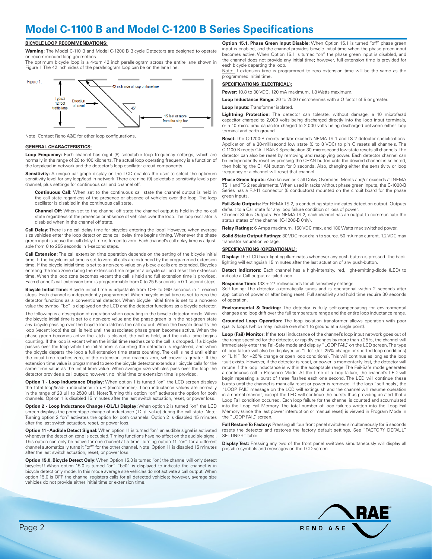### **Model C-1100 B and Model C-1200 B Series Specifications**

#### **BICYCLE LOOP RECOMMENDATIONS:**

**Warning:** The Model C-110 B and Model C-1200 B Bicycle Detectors are designed to operate on recommended loop geometries.

The optimum bicycle loop is a 4-turn 42 inch parallelogram across the entire lane shown in Figure 1. The 42 inch sides of the parallelogram loop can be on the lane line.



Note: Contact Reno A&E for other loop configurations.

#### **GENERAL CHARACTERISTICS:**

**Loop Frequency:** Each channel has eight (8) selectable loop frequency settings, which are normally in the range of 20 to 100 kilohertz. The actual loop operating frequency is a function of the loop/lead-in network and the detector's loop oscillator circuit components.

**Sensitivity:** A unique bar graph display on the LCD enables the user to select the optimum sensitivity level for any loop/lead-in network. There are nine (9) selectable sensitivity levels per channel, plus settings for continuous call and channel off.

**Continuous Call:** When set to the continuous call state the channel output is held in the call state regardless of the presence or absence of vehicles over the loop. The loop oscillator is disabled in the continuous call state.

**Channel Off:** When set to the channel off state the channel output is held in the no call state regardless of the presence or absence of vehicles over the loop. The loop oscillator is disabled when in the channel off state.

**Call Delay:** There is no call delay time for bicycles entering the loop! However, when average size vehicles enter the loop detection zone call delay time begins timing. Whenever the phase green input is active the call delay time is forced to zero. Each channel's call delay time is adjustable from 0 to 255 seconds in 1-second steps.

**Call Extension:** The call extension time operation depends on the setting of the bicycle initial time. If the bicycle initial time is set to zero all calls are extended by the programmed extension time. If the bicycle initial time is set to a non-zero value only bicycle calls are extended. Bicycles entering the loop zone during the extension time register a bicycle call and reset the extension time. When the loop zone becomes vacant the call is held and full extension time is provided. Each channel's call extension time is programmable from 0 to 25.5 seconds in 0.1-second steps.

**Bicycle Initial Time:** Bicycle initial time is adjustable from OFF to 999 seconds in 1 second steps. Each channel is independently programmed. When bicycle initial time is set to zero the detector functions as a conventional detector. When bicycle initial time is set to a non-zero value the symbol "bc" is displayed on the LCD and the detector functions as a bicycle detector.

The following is a description of operation when operating in the bicycle detector mode: When the bicycle initial time is set to a non-zero value and the phase green is in the not-green state any bicycle passing over the bicycle loop latches the call output. When the bicycle departs the loop (vacant loop) the call is held until the associated phase green becomes active. When the phase green becomes active the latch is cleared, the call is held, and the initial time begins counting. If the loop is vacant when the initial time reaches zero the call is dropped. If a bicycle passes over the loop while the initial time is counting the detection is registered, and when the bicycle departs the loop a full extension time starts counting. The call is held until either the initial time reaches zero, or the extension time reaches zero, whichever is greater. If the extension time value is programmed to zero the bicycle detector extends all bicycle calls for the same time value as the initial time value. When average size vehicles pass over the loop the detector provides a call output; however, no initial time or extension time is provided.

**Option 1 - Loop Inductance Display:** When option 1 is turned "on" the LCD screen displays the total loop/lead-in inductance in uH (microhenries). Loop inductance values are normally in the range of 20 uH to 2500 uH. Note: Turning this option "on" activates the option for both channels. Option 1 is disabled 15 minutes after the last switch actuation, reset, or power loss.

**Option 2 - Loop Inductance Change (-DL/L) Display:** When option 2 is turned "on" the LCD screen displays the percentage change of inductance (-DL/L value) during the call state. Note: Turning option 2 "on" activates the option for both channels. Option 2 is disabled 15 minutes after the last switch actuation, reset, or power loss.

**Option 11 - Audible Detect Signal:** When option 11 is turned "on" an audible signal is activated whenever the detection zone is occupied. Timing functions have no affect on the audible signal. This option can only be active for one channel at a time. Turning option 11 "on" for a different channel automatically turns it "off" for the other channel. Note: Option 11 is disabled 15 minutes after the last switch actuation, reset, or power loss.

**Option 15.0, Bicycle Detect Only:**When Option 15.0 is turned "on", the channel will only detect bicycles!! When option 15.0 is turned "on" "bc0" is displayed to indicate the channel is in bicycle detect only mode. In this mode average size vehicles do not activate a call output. When option 15.0 is OFF the channel registers calls for all detected vehicles; however, average size vehicles do not provide either initial time or extension time.

**Option 15.1, Phase Green Input Disable:** When Option 15.1 is turned "off" phase green input is enabled, and the channel provides bicycle initial time when the phase green input becomes active. When Option 15.1 is turned "on" the phase green input is disabled, and the channel does not provide any initial time; however, full extension time is provided for each bicycle departing the loop.

Note: If extension time is programmed to zero extension time will be the same as the programmed initial time.

#### **SPECIFICATIONS (ELECTRICAL):**

**Power:** 10.8 to 30 VDC, 120 mA maximum, 1.8 Watts maximum.

**Loop Inductance Range:** 20 to 2500 microhenries with a Q factor of 5 or greater.

#### **Loop Inputs: Transformer isolated.**

**Lightning Protection:** The detector can tolerate, without damage, a 10 microfarad capacitor charged to 2,000 volts being discharged directly into the loop input terminals, or a 10 microfarad capacitor charged to 2,000 volts being discharged between either loop terminal and earth ground.

**Reset:** The C-1200-B meets and/or exceeds NEMA TS 1 and TS 2 detector specifications. Application of a 30-millisecond low state (0 to 8 VDC) to pin C resets all channels. The C-1100-B meets CALTRANS Specification 30-microsecond low state resets all channels. The detector can also be reset by removing and reapplying power. Each detector channel can be independently reset by pressing the CHAN button until the desired channel is selected, then holding the CHAN button for 3 seconds. Also, changing either the sensitivity or loop frequency of a channel will reset that channel.

**Phase Green Inputs:** Also known as Call Delay Overrides. Meets and/or exceeds all NEMA TS 1 and TS 2 requirements. When used in racks without phase green inputs, the C-1000-B Series has a RJ-11 connector (6 conductors) mounted on the circuit board for the phase green inputs.

**Fail-Safe Outputs:** Per NEMA TS 2, a conducting state indicates detection output. Outputs default to a Call state for any loop failure condition or loss of power.

Channel Status Outputs: Per NEMA TS 2, each channel has an output to communicate the status states of the channel (C-1200-B 0nly).

**Relay Ratings:** 6 Amps maximum, 150 VDC max, and 180 Watts max switched power.

**Solid State Output Ratings:** 30 VDC max drain to source. 50 mA max current. 1.2 VDC max transistor saturation voltage.

#### **SPECIFICATIONS (OPERATIONAL):**

**Display:** The LCD back-lighting illuminates whenever any push-button is pressed. The backlighting will extinguish 15 minutes after the last actuation of any push-button.

**Detect Indicators:** Each channel has a high-intensity, red, light-emitting-diode (LED) to indicate a Call output or failed loop.

**Response Time:** 133 ± 27 milliseconds for all sensitivity settings.

Self-Tuning: The detector automatically tunes and is operational within 2 seconds after application of power or after being reset. Full sensitivity and hold time require 30 seconds of operation.

**Environmental & Tracking:** The detector is fully self-compensating for environmental changes and loop drift over the full temperature range and the entire loop inductance range.

**Grounded Loop Operation:** The loop isolation transformer allows operation with poor quality loops (which may include one short to ground at a single point).

**Loop (Fail) Monitor:** If the total inductance of the channel's loop input network goes out of the range specified for the detector, or rapidly changes by more than ±25%, the channel will immediately enter the Fail-Safe mode and display "LOOP FAIL" on the LCD screen. The type of loop failure will also be displayed as "L lo" (for -25% change or shorted loop conditions) or "L hi" (for +25% change or open loop conditions). This will continue as long as the loop fault exists. However, if the detector is reset, or power is momentarily lost, the detector will retune if the loop inductance is within the acceptable range. The Fail-Safe mode generates a continuous call in Presence Mode. At the time of a loop failure, the channel's LED will begin repeating a burst of three flashes each one second. The LED will continue these bursts until the channel is manually reset or power is removed. If the loop "self heals", the "LOOP FAIL" message on the LCD will extinguish and the channel will resume operation in a normal manner; except the LED will continue the bursts thus providing an alert that a Loop Fail condition occurred. Each loop failure for the channel is counted and accumulated into the Loop Fail Memory. The total number of loop failures written into the Loop Fail Memory (since the last power interruption or manual reset) is viewed in Program Mode in the "LOOP FAIL" screen

**Full Restore To Factory:** Pressing all four front panel switches simultaneously for 5 seconds resets the detector and restores the factory default settings. See "FACTORY DEFAULT SETTINGS" table

**Display Test:** Pressing any two of the front panel switches simultaneously will display all possible symbols and messages on the LCD screen.